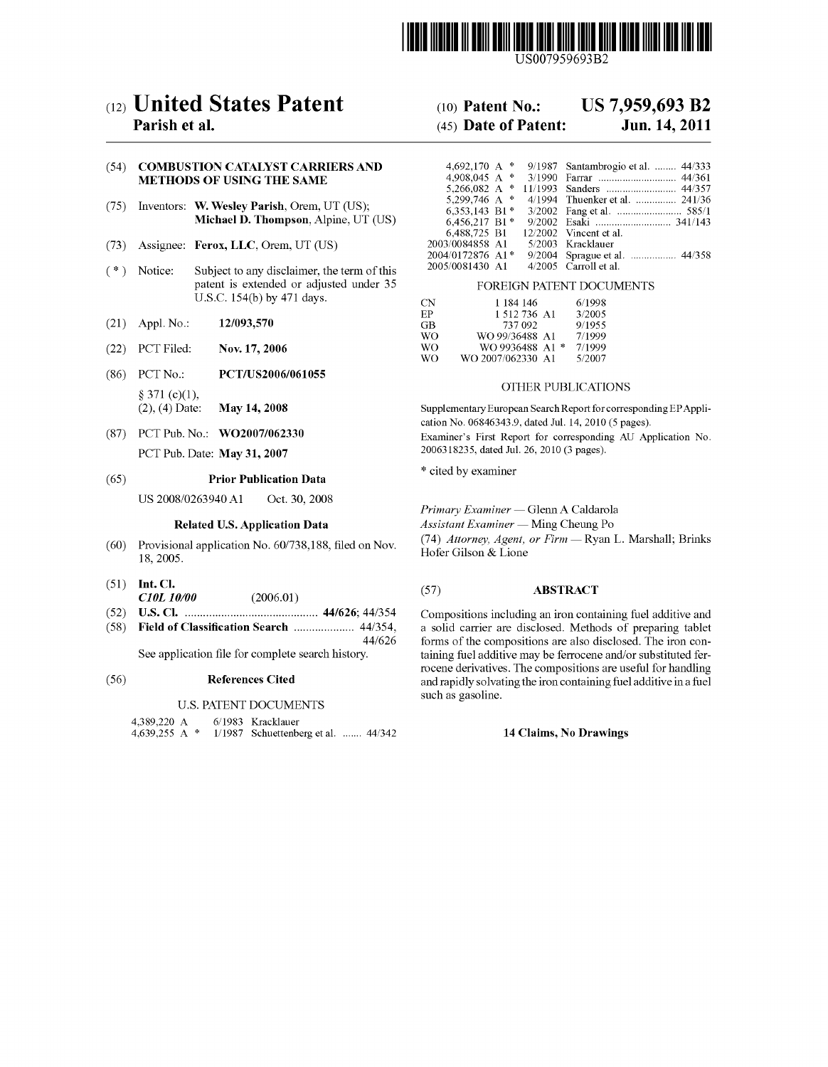

US007959693B2

# (12) United States Patent

# Parish et al.

# (54) COMBUSTION CATALYST CARRIERS AND METHODS OF USING THE SAME

- (75) Inventors: W. Wesley Parish, Orem, UT (US); Michael D. Thompson, Alpine, UT (US)
- (73) Assignee: Ferox, LLC, Orem, UT (US)
- (\*) Notice: Subject to any disclaimer, the term of this patent is extended or adjusted under 35 U.S.C. 154(b) by 471 days.
- (21) Appl. No.:  $12/093,570$
- (22) PCT Filed: Nov. 17, 2006
- (86) PCT No.: PCT/US2006/061055  $§ 371 (c)(1),$ (2), (4) Date: May 14, 2008
- (87) PCT Pub. No.: WO2007/062330 PCT Pub. Date: May 31, 2007

#### (65) Prior Publication Data

US 2008/0263940 A1 Oct. 30, 2008

# Related U.S. Application Data

- $(60)$  Provisional application No.  $60/738,188$ , filed on Nov. 18, 2005.
- $(51)$  Int. Cl.
- $C10L 10/00$  (2006.01)
- (52) U.S. Cl. .......................................... .. 44/626; 44/354
- $(58)$  Field of Classification Search ......................... 44/354, 44/626

See application file for complete search history.

#### (56) References Cited

# U.S. PATENT DOCUMENTS

4,389,220 A 4,639,255 A \* 6/ 1983 Kracklauer 1/1987 Schuettenberg et al. ....... 44/342

#### US 7,959,693 B2 (10) Patent N0.:

#### Jun. 14, 2011 (45) Date of Patent:

| 4,692,170 A<br>$\ast$ | 9/1987 Santambrogio et al.  44/333 |
|-----------------------|------------------------------------|
| 4.908.045 A $*$       |                                    |
| 5,266,082 A $*$       |                                    |
| 5,299,746 A *         | 4/1994 Thuenker et al.  241/36     |
| 6.353.143 B1*         |                                    |
| $6,456,217$ B1*       |                                    |
| 6.488.725 B1          | $12/2002$ Vincent et al.           |
| 2003/0084858 A1       | 5/2003 Kracklauer                  |
| 2004/0172876 A1*      |                                    |
| 2005/0081430 A1       | 4/2005 Carroll et al.              |

### FOREIGN PATENT DOCUMENTS

| CΝ | 1 184 146          | 6/1998 |
|----|--------------------|--------|
| ЕP | 1 512 736 A1       | 3/2005 |
| GВ | 737 092            | 9/1955 |
| WΟ | WO 99/36488 A1     | 7/1999 |
| WΟ | WO 9936488 A1<br>净 | 7/1999 |
| WΟ | WO 2007/062330 A1  | 5/2007 |

# OTHER PUBLICATIONS

Supplementary European Search Report for corresponding EPAppli cation No. 068463439, dated Jul. 14, 2010 (5 pages). Examiner's First Report for corresponding AU Application No. 2006318235, dated Jul. 26, 2010 (3 pages).

\* cited by examiner

Primary Examiner - Glenn A Caldarola

 $\textit{Assistant Examiner}$   $\textit{—}$  Ming Cheung Po

(74) Attorney, Agent, or Firm - Ryan L. Marshall; Brinks Hofer Gilson & Lione

# (57) ABSTRACT

Compositions including an iron containing fuel additive and a solid carrier are disclosed. Methods of preparing tablet forms of the compositions are also disclosed. The iron con taining fuel additive may be ferrocene and/or substituted fer rocene derivatives. The compositions are useful for handling and rapidly solvating the iron containing fuel additive in a fuel such as gasoline.

# 14 Claims, No Drawings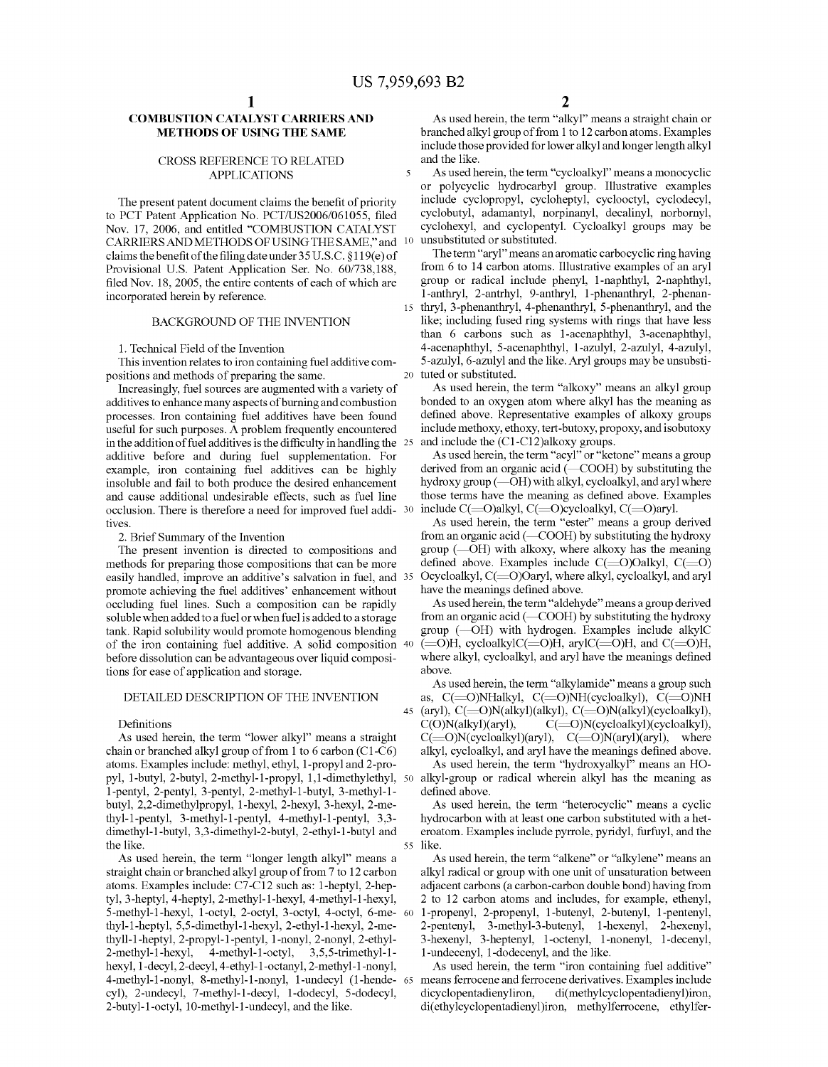$\overline{\mathbf{S}}$ 

# COMBUSTION CATALYST CARRIERS AND METHODS OF USING THE SAME

# CROSS REFERENCE TO RELATED APPLICATIONS

The present patent document claims the benefit of priority to PCT Patent Application No. PCT/US2006/061055, filed Nov. 17, 2006, and entitled "COMBUSTION CATALYST CARRIERS AND METHODS OF USING THE SAME," and 10 claims the benefit of the filing date under  $35 U.S.C. §119(e)$  of Provisional US. Patent Application Ser. No. 60/738,188, filed Nov. 18, 2005, the entire contents of each of which are incorporated herein by reference.

# BACKGROUND OF THE INVENTION

1. Technical Field of the Invention

This invention relates to iron containing fuel additive com positions and methods of preparing the same.

Increasingly, fuel sources are augmented With a variety of additives to enhance many aspects of burning and combustion processes. Iron containing fuel additives have been found useful for such purposes. A problem frequently encountered in the addition of fuel additives is the difficulty in handling the  $25$ additive before and during fuel supplementation. For example, iron containing fuel additives can be highly insoluble and fail to both produce the desired enhancement and cause additional undesirable effects, such as fuel line occlusion. There is therefore a need for improved fuel addi-30 tives.

2. Brief Summary of the Invention

The present invention is directed to compositions and methods for preparing those compositions that can be more easily handled, improve an additive's salvation in fuel, and 35 promote achieving the fuel additives' enhancement Without occluding fuel lines. Such a composition can be rapidly soluble When added to a fuel or When fuel is added to a storage tank. Rapid solubility Would promote homogenous blending of the iron containing fuel additive. A solid composition 40 before dissolution can be advantageous over liquid composi tions for ease of application and storage.

# DETAILED DESCRIPTION OF THE INVENTION

#### Definitions

As used herein, the term "lower alkyl" means a straight chain or branched alkyl group of from 1 to 6 carbon (C1 -C6) atoms. Examples include: methyl, ethyl, l-propyl and 2-pro pyl, l-butyl, 2-butyl, 2-methyl-l-propyl, l,l-dimethylethyl, 50 l-pentyl, 2-pentyl, 3 -pentyl, 2-methyl- l -butyl, 3-methyl-l butyl, 2,2-dimethylpropyl, l-hexyl, 2-hexyl, 3-hexyl, 2-me thyl- l -pentyl, 3-methyl- l -pentyl, 4-methyl-l -pentyl, 3 ,3 dimethyl-l -butyl, 3 ,3 -dimethyl-2 -butyl, 2-ethyl-l -butyl and the like. 55

As used herein, the term "longer length alkyl" means a straight chain or branched alkyl group of from 7 to 12 carbon atoms. Examples include: C7-Cl2 such as: l-heptyl, 2-hep tyl, 3 -heptyl, 4-heptyl, 2-methyl- l -hexyl, 4-methyl-l -hexyl, 5-methyl-l-hexyl, l-octyl, 2-octyl, 3-octyl, 4-octyl, 6-me 60 thyl- l -heptyl, 5 ,5 -dimethyl-l -hexyl, 2-ethyl-l -hexyl, 2-me thyll-l -heptyl, 2-propyl- l -pentyl, l -nonyl, 2-nonyl, 2-ethyl  $2$ -methyl-1-hexyl, 4-methyl-1-octyl, 3,5,5-trimethyl-1hexyl, l-decyl, 2-decyl, 4-ethyl- l -octanyl, 2-methyl-l -nonyl, 4-methyl-l -nonyl, 8-methyl- l -nonyl, l -undecyl (l -hende 65 cyl), 2-undecyl, 7-methyl-1-decyl, 1-dodecyl, 5-dodecyl, 2-butyl- l -octyl, l0-methyl- l -undecyl, and the like.

As used herein, the term "alkyl" means a straight chain or branched alkyl group of from 1 to 12 carbon atoms. Examples include those provided for loWer alkyl and longer length alkyl and the like.

As used herein, the term "cycloalkyl" means a monocyclic or polycyclic hydrocarbyl group. Illustrative examples include cyclopropyl, cycloheptyl, cyclooctyl, cyclodecyl, cyclobutyl, adamantyl, norpinanyl, decalinyl, norbornyl, cyclohexyl, and cyclopentyl. Cycloalkyl groups may be unsubstituted or substituted.

20 tuted or substituted. The term "aryl" means an aromatic carbocyclic ring having from 6 to 14 carbon atoms. Illustrative examples of an aryl group or radical include phenyl, l-naphthyl, 2-naphthyl, l-anthryl, 2-antrhyl, 9-anthryl, l-phenanthryl, 2-phenan thryl, 3-phenanthryl, 4-phenanthryl, 5-phenanthryl, and the like; including fused ring systems With rings that have less than 6 carbons such as l-acenaphthyl, 3-acenaphthyl, 4-acenaphthyl, 5-acenaphthyl, l-aZulyl, 2-aZulyl, 4-aZulyl, 5-aZulyl, 6-aZulyl and the like. Aryl groups may be unsubsti

As used herein, the term "alkoxy" means an alkyl group bonded to an oxygen atom Where alkyl has the meaning as defined above. Representative examples of alkoxy groups include methoxy, ethoxy, tert-butoxy, propoxy, and isobutoxy and include the (Cl -Cl2)alkoxy groups.

As used herein, the term "acyl" or "ketone" means a group derived from an organic acid (-COOH) by substituting the hydroxy group (-OH) with alkyl, cycloalkyl, and aryl where those terms have the meaning as defined above. Examples include  $C(=O)$ alkyl,  $C(=O)$ cycloalkyl,  $C(=O)$ aryl.

As used herein, the term "ester" means a group derived from an organic acid  $(-COOH)$  by substituting the hydroxy group  $(-OH)$  with alkoxy, where alkoxy has the meaning defined above. Examples include  $C(=O)$ Oalkyl,  $C(=O)$ Ocycloalkyl, C(=O)Oaryl, where alkyl, cycloalkyl, and aryl have the meanings defined above.

As used herein, the term "aldehyde" means a group derived from an organic acid (-COOH) by substituting the hydroxy group  $(-OH)$  with hydrogen. Examples include alkylC  $(=O)H$ , cycloalkylC $(=O)H$ , arylC $(=O)H$ , and C $(=O)H$ , where alkyl, cycloalkyl, and aryl have the meanings defined above.

45 (aryl), C(=O)N(alkyl)(alkyl), C(=O)N(alkyl)(cycloalkyl), As used herein, the term "alkylamide" means a group such as, C(=O)NHalkyl, C(=O)NH(cycloalkyl), C(=O)NH C(O)N(alkyl)(aryl), C(=O)N(cycloalkyl)(cycloalkyl),  $C(\equiv O)N(cycloalkyl)(aryl), C(\equiv O)N(aryl)(aryl), where$ alkyl, cycloalkyl, and aryl have the meanings defined above.

As used herein, the term "hydroxyalkyl" means an HO alkyl-group or radical Wherein alkyl has the meaning as defined above.

As used herein, the term "heterocyclic" means a cyclic hydrocarbon With at least one carbon substituted With a het eroatom. Examples include pyrrole, pyridyl, furfuyl, and the like.

As used herein, the term "alkene" or "alkylene" means an alkyl radical or group with one unit of unsaturation between adjacent carbons (a carbon-carbon double bond) having from 2 to 12 carbon atoms and includes, for example, ethenyl, l-propenyl, 2-propenyl, l-butenyl, 2-butenyl, l-pentenyl, 2-pentenyl, 3-methyl-3-butenyl, l-hexenyl, 2-hexenyl, 3-hexenyl, 3-heptenyl, l-octenyl, l-nonenyl, l-decenyl, l-undecenyl, l-dodecenyl, and the like.

As used herein, the term "iron containing fuel additive" means ferrocene and ferrocene derivatives. Examples include<br>dicyclopentadienyliron, di(methylcyclopentadienyl)iron, di(methylcyclopentadienyl)iron, di(ethylcyclopentadienyl)iron, methylferrocene, ethylfer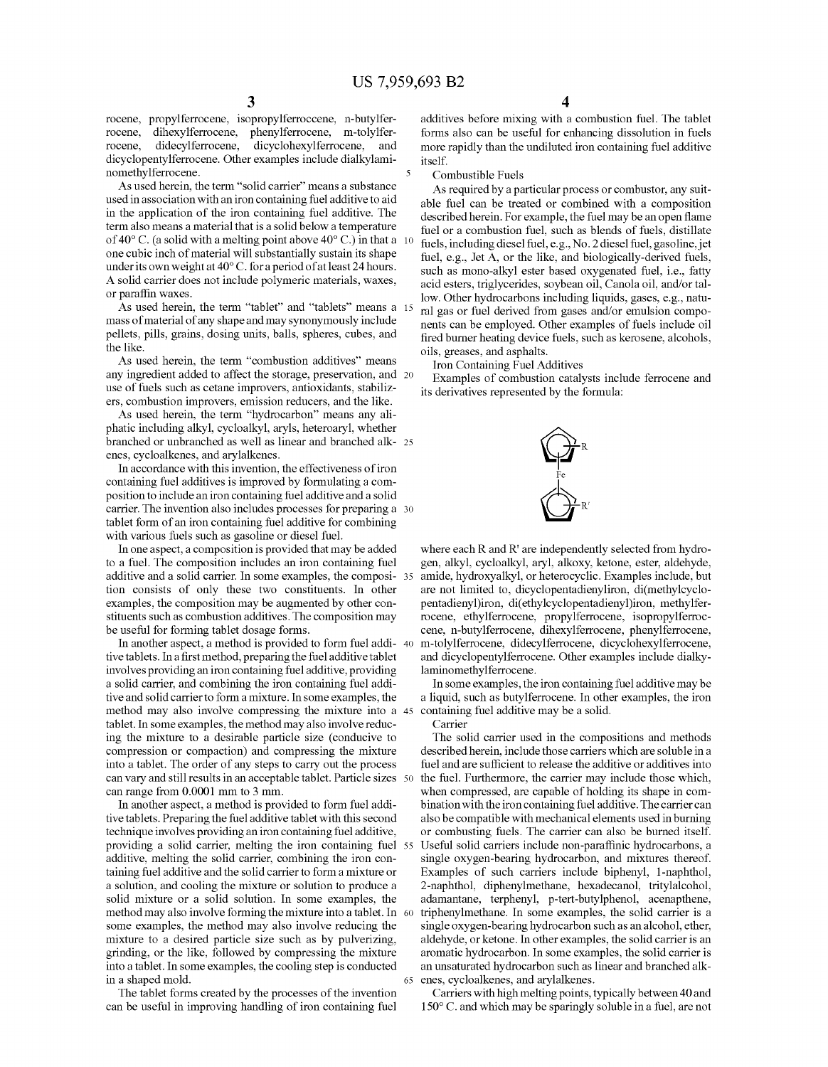5

rocene, propylferrocene, isopropylferroccene, n-butylfer rocene, dihexylferrocene, phenylferrocene, m-tolylfer rocene, didecylferrocene, dicyclohexylferrocene, and dicyclopentylferrocene. Other examples include dialkylami nomethylferrocene.

As used herein, the term "solid carrier" means a substance used in association With an iron containing fuel additive to aid in the application of the iron containing fuel additive. The term also means a material that is a solid beloW a temperature of 40 $\degree$  C. (a solid with a melting point above 40 $\degree$  C.) in that a 10 one cubic inch of material Will substantially sustain its shape under its own weight at  $40^{\circ}$  C. for a period of at least 24 hours. A solid carrier does not include polymeric materials, Waxes, or paraffin waxes.

As used herein, the term "tablet" and "tablets" means a 15 mass of material of any shape and may synonymously include pellets, pills, grains, dosing units, balls, spheres, cubes, and the like.

As used herein, the term "combustion additives" means any ingredient added to affect the storage, preservation, and 20 use of fuels such as cetane improvers, antioxidants, stabilizers, combustion improvers, emission reducers, and the like.

As used herein, the term "hydrocarbon" means any ali phatic including alkyl, cycloalkyl, aryls, heteroaryl, Whether branched or unbranched as Well as linear and branched alk 25 enes, cycloalkenes, and arylalkenes.

In accordance With this invention, the effectiveness of iron containing fuel additives is improved by formulating a com position to include an iron containing fuel additive and a solid carrier. The invention also includes processes for preparing a 30 tablet form of an iron containing fuel additive for combining with various fuels such as gasoline or diesel fuel.

In one aspect, a composition is provided that may be added to a fuel. The composition includes an iron containing fuel additive and a solid carrier. In some examples, the composi- 35 tion consists of only these two constituents. In other examples, the composition may be augmented by other constituents such as combustion additives. The composition may be useful for forming tablet dosage forms.

In another aspect, a method is provided to form fuel addi- 40 tive tablets. In a first method, preparing the fuel additive tablet involves providing an iron containing fuel additive, providing a solid carrier, and combining the iron containing fuel addi tive and solid carrier to form a mixture. In some examples, the method may also involve compressing the mixture into a 45 tablet. In some examples, the method may also involve reduc ing the mixture to a desirable particle size (conducive to compression or compaction) and compressing the mixture into a tablet. The order of any steps to carry out the process can vary and still results in an acceptable tablet. Particle siZes 50 can range from 0.0001 mm to 3 mm.

In another aspect, a method is provided to form fuel addi tive tablets. Preparing the fuel additive tablet With this second technique involves providing an iron containing fuel additive, providing a solid carrier, melting the iron containing fuel 55 additive, melting the solid carrier, combining the iron containing fuel additive and the solid carrier to form a mixture or a solution, and cooling the mixture or solution to produce a solid mixture or a solid solution. In some examples, the method may also involve forming the mixture into a tablet. In 60 some examples, the method may also involve reducing the mixture to a desired particle size such as by pulverizing, grinding, or the like, folloWed by compressing the mixture into a tablet. In some examples, the cooling step is conducted in a shaped mold. 65

The tablet forms created by the processes of the invention can be useful in improving handling of iron containing fuel additives before mixing With a combustion fuel. The tablet forms also can be useful for enhancing dissolution in fuels more rapidly than the undiluted iron containing fuel additive itself.

Combustible Fuels

As required by a particular process or combustor, any suit able fuel can be treated or combined With a composition described herein. For example, the fuel may be an open flame fuel or a combustion fuel, such as blends of fuels, distillate fuels, including diesel fuel, e. g., No. 2 diesel fuel, gasoline, jet fuel, e.g., Jet A, or the like, and biologically-derived fuels, such as mono-alkyl ester based oxygenated fuel, i.e., fatty acid esters, triglycerides, soybean oil, Canola oil, and/or tal loW. Other hydrocarbons including liquids, gases, e.g., natu ral gas or fuel derived from gases and/or emulsion compo nents can be employed. Other examples of fuels include oil fired burner heating device fuels, such as kerosene, alcohols, oils, greases, and asphalts.

Iron Containing Fuel Additives

Examples of combustion catalysts include ferrocene and its derivatives represented by the formula:



where each R and R' are independently selected from hydrogen, alkyl, cycloalkyl, aryl, alkoxy, ketone, ester, aldehyde, are not limited to, dicyclopentadienyliron, di(methylcyclopentadienyl)iron, di(ethylcyclopentadienyl)iron, methylfer rocene, ethylferrocene, propylferrocene, isopropylferroc cene, n-butylferrocene, dihexylferrocene, phenylferrocene, m-tolylferrocene, didecylferrocene, dicyclohexylferrocene, and dicyclopentylferrocene. Other examples include dialky laminomethylferrocene.

In some examples, the iron containing fuel additive may be a liquid, such as butylferrocene. In other examples, the iron containing fuel additive may be a solid.

Carrier

The solid carrier used in the compositions and methods described herein, include those carriers Which are soluble in a fuel and are sufficient to release the additive or additives into the fuel. Furthermore, the carrier may include those Which, When compressed, are capable of holding its shape in com bination With the iron containing fuel additive. The carrier can also be compatible With mechanical elements used in burning or combusting fuels. The carrier can also be burned itself. Useful solid carriers include non-paraffinic hydrocarbons, a single oxygen-bearing hydrocarbon, and mixtures thereof. Examples of such carriers include biphenyl, l-naphthol, 2-naphthol, diphenylmethane, hexadecanol, tritylalcohol, adamantane, terphenyl, p-tert-butylphenol, acenapthene, triphenylmethane. In some examples, the solid carrier is a single oxygen-bearing hydrocarbon such as an alcohol, ether, aldehyde, or ketone. In other examples, the solid carrier is an aromatic hydrocarbon. In some examples, the solid carrier is an unsaturated hydrocarbon such as linear and branched alk enes, cycloalkenes, and arylalkenes.

Carriers with high melting points, typically between 40 and  $150^{\circ}$  C. and which may be sparingly soluble in a fuel, are not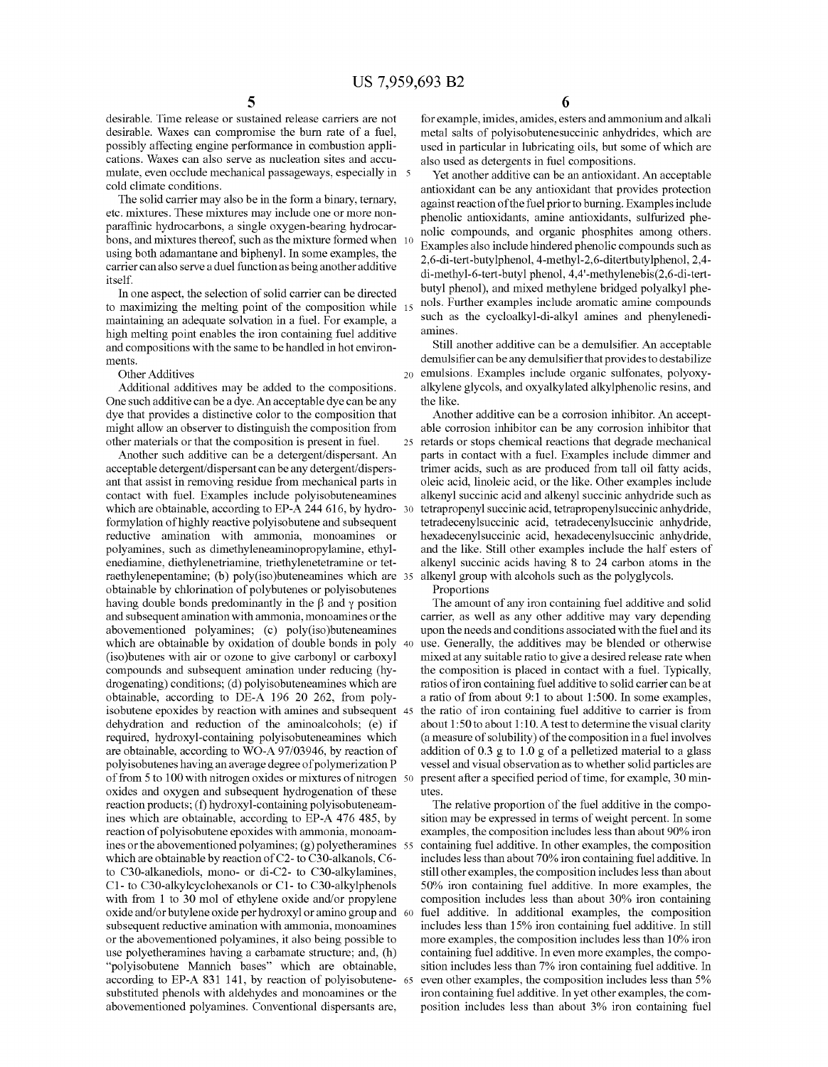desirable. Time release or sustained release carriers are not desirable. Waxes can compromise the burn rate of a fuel, possibly affecting engine performance in combustion appli cations. Waxes can also serve as nucleation sites and accu mulate, even occlude mechanical passageways, especially in cold climate conditions.

The solid carrier may also be in the form a binary, ternary, etc. mixtures. These mixtures may include one or more non paraffinic hydrocarbons, a single oxygen-bearing hydrocarbons, and mixtures thereof, such as the mixture formed When using both adamantane and biphenyl. In some examples, the carrier can also serve a duel function as being another additive itself.

In one aspect, the selection of solid carrier can be directed to maximizing the melting point of the composition while 15 maintaining an adequate solvation in a fuel. For example, a high melting point enables the iron containing fuel additive and compositions With the same to be handled in hot environ ments.

Other Additives

Additional additives may be added to the compositions. One such additive can be a dye. An acceptable dye can be any dye that provides a distinctive color to the composition that might alloW an observer to distinguish the composition from other materials or that the composition is present in fuel.

Another such additive can be a detergent/dispersant. An acceptable detergent/dispersant can be any detergent/dispers ant that assist in removing residue from mechanical parts in contact With fuel. Examples include polyisobuteneamines which are obtainable, according to EP-A 244 616, by hydro- 30 formylation of highly reactive polyisobutene and subsequent reductive amination With ammonia, monoamines or polyamines, such as dimethyleneaminopropylamine, ethyl enediamine, diethylenetriamine, triethylenetetramine or tet raethylenepentamine; (b) poly(iso)buteneamines Which are 35 obtainable by chlorination of polybutenes or polyisobutenes having double bonds predominantly in the  $\beta$  and  $\gamma$  position and subsequent amination With ammonia, monoamines or the abovementioned polyamines; (c) poly(iso)buteneamines Which are obtainable by oxidation of double bonds in poly 40 (iso)butenes With air or oZone to give carbonyl or carboxyl compounds and subsequent amination under reducing (hy drogenating) conditions; (d) polyisobuteneamines Which are obtainable, according to DE-A 196 20 262, from poly isobutene epoxides by reaction With amines and subsequent 45 dehydration and reduction of the aminoalcohols; (e) if required, hydroxyl-containing polyisobuteneamines which are obtainable, according to WO-A 97/03946, by reaction of polyisobutenes having an average degree of polymerization P of from 5 to 100 With nitrogen oxides or mixtures of nitrogen 50 oxides and oxygen and subsequent hydrogenation of these reaction products; (f) hydroxyl-containing polyisobuteneam ines Which are obtainable, according to EP-A 476 485, by reaction of polyisobutene epoxides with ammonia, monoamines or the abovementioned polyamines; (g) polyetheramines 55 Which are obtainable by reaction of C2- to C30-alkanols, C6 to C30-alkanediols, mono- or di-C2- to C30-alkylamines, C1- to C30-alkylcyclohexanols or C1- to C30-alkylphenols with from 1 to 30 mol of ethylene oxide and/or propylene oxide and/or butylene oxide per hydroxyl or amino group and 60  $\,$ subsequent reductive amination With ammonia, monoamines or the abovementioned polyamines, it also being possible to use polyetheramines having a carbamate structure; and, (h) "polyisobutene Mannich bases" Which are obtainable, according to EP-A 831 141, by reaction of polyisobutene- 65 substituted phenols With aldehydes and monoamines or the abovementioned polyamines. Conventional dispersants are,

for example, imides, amides, esters and ammonium and alkali metal salts of polyisobutenesuccinic anhydrides, Which are used in particular in lubricating oils, but some of Which are also used as detergents in fuel compositions.

Yet another additive can be an antioxidant. An acceptable antioxidant can be any antioxidant that provides protection against reaction of the fuel prior to burning. Examples include phenolic antioxidants, amine antioxidants, sulfurized phenolic compounds, and organic phosphites among others. Examples also include hindered phenolic compounds such as 2,6-di-tert-butylphenol, 4-methyl-2,6-ditertbutylphenol, 2,4 di-methyl-6-tert-butyl phenol, 4,4'-methylenebis(2,6-di-tert butyl phenol), and mixed methylene bridged polyalkyl phe nols. Further examples include aromatic amine compounds such as the cycloalkyl-di-alkyl amines and phenylenedi amines.

20 emulsions. Examples include organic sulfonates, polyoxy Still another additive can be a demulsifier. An acceptable demulsifier can be any demulsifier that provides to destabilize alkylene glycols, and oxyalkylated alkylphenolic resins, and the like.

25 retards or stops chemical reactions that degrade mechanical Another additive can be a corrosion inhibitor. An accept able corrosion inhibitor can be any corrosion inhibitor that parts in contact With a fuel. Examples include dimmer and trimer acids, such as are produced from tall oil fatty acids, oleic acid, linoleic acid, or the like. Other examples include alkenyl succinic acid and alkenyl succinic anhydride such as tetrapropenyl succinic acid, tetrapropenylsuccinic anhydride, tetradecenylsuccinic acid, tetradecenylsuccinic anhydride, hexadecenylsuccinic acid, hexadecenylsuccinic anhydride, and the like. Still other examples include the half esters of alkenyl succinic acids having 8 to 24 carbon atoms in the alkenyl group With alcohols such as the polyglycols.

Proportions

The amount of any iron containing fuel additive and solid carrier, as Well as any other additive may vary depending upon the needs and conditions associated With the fuel and its use. Generally, the additives may be blended or otherwise mixed at any suitable ratio to give a desired release rate When the composition is placed in contact With a fuel. Typically, ratios of iron containing fuel additive to solid carrier can be at a ratio of from about 9:1 to about 1:500. In some examples, the ratio of iron containing fuel additive to carrier is from about  $1:50$  to about  $1:10$ . A test to determine the visual clarity (a measure of solubility) of the composition in a fuel involves addition of  $0.3$  g to  $1.0$  g of a pelletized material to a glass vessel and visual observation as to Whether solid particles are present after a specified period of time, for example, 30 minutes.

The relative proportion of the fuel additive in the compo sition may be expressed in terms of Weight percent. In some examples, the composition includes less than about 90% iron containing fuel additive. In other examples, the composition includes less than about 70% iron containing fuel additive. In still other examples, the composition includes less than about 50% iron containing fuel additive. In more examples, the composition includes less than about 30% iron containing fuel additive. In additional examples, the composition includes less than 15% iron containing fuel additive. In still more examples, the composition includes less than 10% iron containing fuel additive. In even more examples, the compo sition includes less than 7% iron containing fuel additive. In even other examples, the composition includes less than 5% iron containing fuel additive. In yet other examples, the com position includes less than about 3% iron containing fuel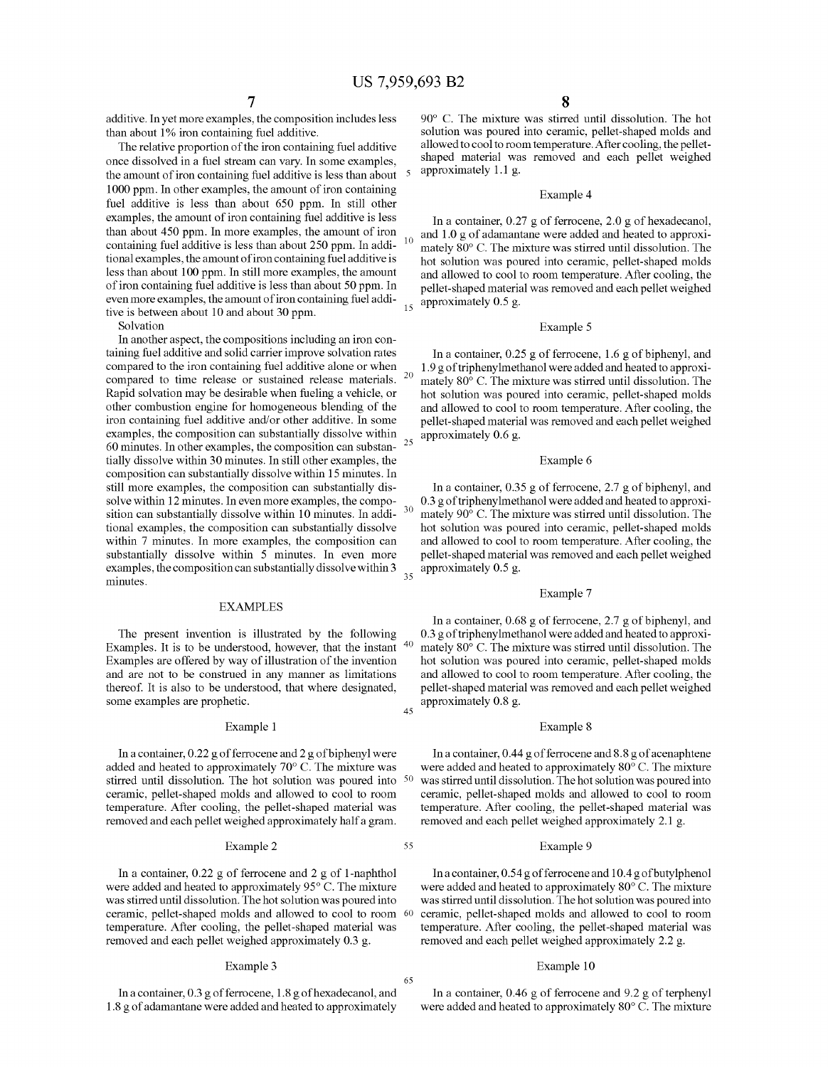$10$ 

30

35

40

55

65

additive. In yet more examples, the composition includes less than about 1% iron containing fuel additive.

The relative proportion of the iron containing fuel additive once dissolved in a fuel stream can vary. In some examples, the amount of iron containing fuel additive is less than about 1000 ppm. In other examples, the amount of iron containing fuel additive is less than about 650 ppm. In still other examples, the amount of iron containing fuel additive is less than about 450 ppm. In more examples, the amount of iron containing fuel additive is less than about 250 ppm. In addi tional examples, the amount of iron containing fuel additive is less than about 100 ppm. In still more examples, the amount of iron containing fuel additive is less than about 50 ppm. In even more examples, the amount of iron containing fuel addi tive is between about 10 and about 30 ppm.

Solvation

In another aspect, the compositions including an iron con taining fuel additive and solid carrier improve solvation rates compared to the iron containing fuel additive alone or When compared to time release or sustained release materials. Rapid solvation may be desirable When fueling a vehicle, or other combustion engine for homogeneous blending of the iron containing fuel additive and/or other additive. In some examples, the composition can substantially dissolve Within 60 minutes. In other examples, the composition can substan tially dissolve Within 30 minutes. In still other examples, the composition can substantially dissolve Within 15 minutes. In still more examples, the composition can substantially dis solve Within 12 minutes. In even more examples, the compo sition can substantially dissolve Within 10 minutes. In addi tional examples, the composition can substantially dissolve within 7 minutes. In more examples, the composition can substantially dissolve Within 5 minutes. In even more examples, the composition can substantially dissolve Within 3 minutes. 20 25

# EXAMPLES

The present invention is illustrated by the following Examples. It is to be understood, however, that the instant Examples are offered by Way of illustration of the invention and are not to be construed in any manner as limitations thereof. It is also to be understood, that Where designated, some examples are prophetic. 45

# Example 1

In a container, 0.22 g of ferrocene and 2 g of biphenyl Were added and heated to approximately 70° C. The mixture Was stirred until dissolution. The hot solution Was poured into 50 ceramic, pellet-shaped molds and alloWed to cool to room temperature. After cooling, the pellet-shaped material Was removed and each pellet Weighed approximately half a gram.

# Example 2

In a container, 0.22 g of ferrocene and 2 g of 1-naphthol Were added and heated to approximately 95° C. The mixture Was stirred until dissolution. The hot solution Was poured into ceramic, pellet-shaped molds and alloWed to cool to room 60 temperature. After cooling, the pellet-shaped material Was removed and each pellet Weighed approximately 0.3 g.

### Example 3

In a container, 0.3 g of ferrocene, 1.8 g of hexadecanol, and 1.8 g of adamantane Were added and heated to approximately

90° C. The mixture Was stirred until dissolution. The hot solution Was poured into ceramic, pellet-shaped molds and alloWed to cool to room temperature. After cooling, the pellet shaped material Was removed and each pellet Weighed approximately 1.1 g.

# Example 4

In a container, 0.27 g of ferrocene, 2.0 g of hexadecanol, and 1.0 g of adamantane Were added and heated to approxi mately 80° C. The mixture Was stirred until dissolution. The hot solution Was poured into ceramic, pellet-shaped molds and alloWed to cool to room temperature. After cooling, the pellet-shaped material Was removed and each pellet Weighed approximately 0.5 g.

# Example 5

In a container, 0.25 g of ferrocene, 1.6 g of biphenyl, and 1 .9 g of triphenylmethanol Were added and heated to approxi mately 80° C. The mixture Was stirred until dissolution. The hot solution Was poured into ceramic, pellet-shaped molds and alloWed to cool to room temperature. After cooling, the pellet-shaped material Was removed and each pellet Weighed approximately 0.6 g.

# Example 6

In a container, 0.35 g of ferrocene, 2.7 g of biphenyl, and 0.3 g of triphenylmethanol Were added and heated to approxi mately 90° C. The mixture Was stirred until dissolution. The hot solution Was poured into ceramic, pellet-shaped molds and alloWed to cool to room temperature. After cooling, the pellet-shaped material Was removed and each pellet Weighed approximately 0.5 g.

# Example 7

In a container, 0.68 g of ferrocene, 2.7 g of biphenyl, and 0.3 g of triphenylmethanol Were added and heated to approxi mately 80° C. The mixture Was stirred until dissolution. The hot solution Was poured into ceramic, pellet-shaped molds and alloWed to cool to room temperature. After cooling, the pellet-shaped material Was removed and each pellet Weighed approximately 0.8 g.

#### Example 8

In a container, 0.44 g of ferrocene and 8.8 g of acenaphtene were added and heated to approximately 80° C. The mixture Was stirred until dissolution. The hot solution Was poured into ceramic, pellet-shaped molds and alloWed to cool to room temperature. After cooling, the pellet-shaped material Was removed and each pellet Weighed approximately 2.1 g.

### Example 9

In a container, 0.54 g of ferrocene and 10.4 g of butylphenol Were added and heated to approximately 80° C. The mixture Was stirred until dissolution. The hot solution Was poured into ceramic, pellet-shaped molds and alloWed to cool to room temperature. After cooling, the pellet-shaped material Was removed and each pellet Weighed approximately 2.2 g.

### Example 10

In a container, 0.46 g of ferrocene and 9.2 g of terphenyl were added and heated to approximately 80° C. The mixture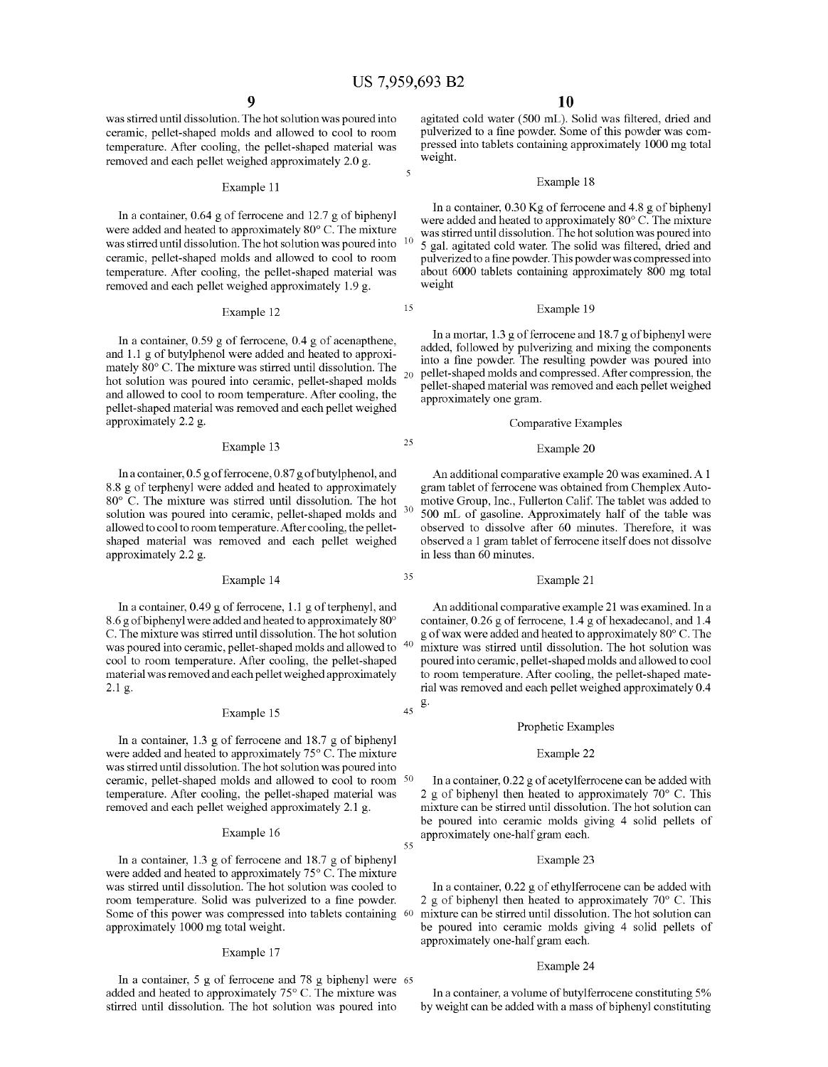5

20

15

25

30

35

40

55

Was stirred until dissolution. The hot solution Was poured into ceramic, pellet-shaped molds and allowed to cool to room temperature. After cooling, the pellet-shaped material Was removed and each pellet Weighed approximately 2.0 g.

#### Example 11

In a container, 0.64 g of ferrocene and 12.7 g of biphenyl were added and heated to approximately  $80^{\circ}$  C. The mixture was stirred until dissolution. The hot solution was noured into  $10^{\circ}$ Was stirred until dissolution. The hot solution Was poured into ceramic, pellet-shaped molds and alloWed to cool to room temperature. After cooling, the pellet-shaped material Was removed and each pellet Weighed approximately 1.9 g.

# Example 12

In a container, 0.59 g of ferrocene, 0.4 g of acenapthene, and 1.1 g of butylphenol Were added and heated to approxi mately 80° C. The mixture Was stirred until dissolution. The hot solution Was poured into ceramic, pellet-shaped molds and alloWed to cool to room temperature. After cooling, the pellet-shaped material Was removed and each pellet Weighed approximately 2.2 g.

# Example 13

In a container, 0.5 g of ferrocene, 0.87 g of butylphenol, and 8.8 g of terphenyl Were added and heated to approximately 80° C. The mixture Was stirred until dissolution. The hot solution Was poured into ceramic, pellet-shaped molds and alloWed to cool to room temperature. After cooling, the pellet shaped material Was removed and each pellet Weighed approximately 2.2 g.

# Example 14

In a container, 0.49 g of ferrocene, 1.1 g of terphenyl, and 8.6 g of biphenyl Were added and heated to approximately 80° C. The mixture Was stirred until dissolution. The hot solution was poured into ceramic, pellet-shaped molds and allowed to cool to room temperature. After cooling, the pellet-shaped material Was removed and each pellet Weighed approximately 2.1 g.

# Example 15

In a container, 1.3 g of ferrocene and 18.7 g of biphenyl were added and heated to approximately 75° C. The mixture Was stirred until dissolution. The hot solution Was poured into ceramic, pellet-shaped molds and alloWed to cool to room 50 temperature. After cooling, the pellet-shaped material Was removed and each pellet Weighed approximately 2.1 g.

### Example 16

In a container, 1.3 g of ferrocene and 18.7 g of biphenyl were added and heated to approximately 75° C. The mixture Was stirred until dissolution. The hot solution Was cooled to room temperature. Solid was pulverized to a fine powder. Some of this power was compressed into tablets containing 60 approximately 1000 mg total Weight.

#### Example 17

In a container, 5 g of ferrocene and 78 g biphenyl Were 65 added and heated to approximately 75° C. The mixture Was stirred until dissolution. The hot solution Was poured into

agitated cold water (500 mL). Solid was filtered, dried and pulverized to a fine powder. Some of this powder was compressed into tablets containing approximately 1000 mg total Weight.

#### Example 18

In a container, 0.30 Kg of ferrocene and 4.8 g of biphenyl Were added and heated to approximately 80° C. The mixture Was stirred until dissolution. The hot solution Was poured into 5 gal. agitated cold water. The solid was filtered, dried and pulverized to a fine powder. This powder was compressed into about 6000 tablets containing approximately 800 mg total Weight

# Example 19

In a mortar, 1.3 g of ferrocene and 18.7 g of biphenyl Were added, followed by pulverizing and mixing the components into a fine powder. The resulting powder was poured into pellet-shaped molds and compressed. After compression, the pellet-shaped material Was removed and each pellet Weighed approximately one gram.

# Comparative Examples

#### Example 20

An additional comparative example 20 Was examined. A 1 gram tablet of ferrocene Was obtained from Chemplex Auto motive Group, Inc., Fullerton Calif. The tablet Was added to 500 mL of gasoline. Approximately half of the table Was observed to dissolve after 60 minutes. Therefore, it Was observed a 1 gram tablet of ferrocene itself does not dissolve in less than 60 minutes.

# Example 21

45  $\mathbf{g}$ . An additional comparative example 21 Was examined. In a container, 0.26 g of ferrocene, 1.4 g of hexadecanol, and 1.4 g of Wax Were added and heated to approximately 80° C. The mixture Was stirred until dissolution. The hot solution Was poured into ceramic, pellet-shaped molds and alloWed to cool to room temperature. After cooling, the pellet-shaped mate rial Was removed and each pellet Weighed approximately 0.4

# Prophetic Examples

#### Example 22

In a container, 0.22 g of acetylferrocene can be added With 2 g of biphenyl then heated to approximately  $70^{\circ}$  C. This mixture can be stirred until dissolution. The hot solution can be poured into ceramic molds giving 4 solid pellets of approximately one-half gram each.

# Example 23

In a container, 0.22 g of ethylferrocene can be added With 2 g of biphenyl then heated to approximately  $70^{\circ}$  C. This mixture can be stirred until dissolution. The hot solution can be poured into ceramic molds giving 4 solid pellets of approximately one-half gram each.

### Example 24

In a container, a volume of butylferrocene constituting 5% by Weight can be added With a mass of biphenyl constituting